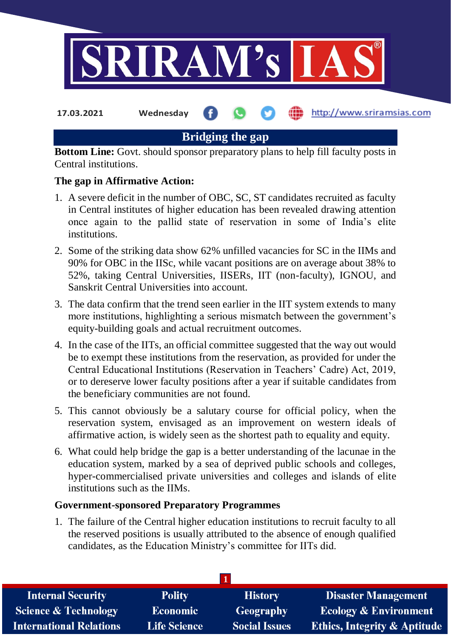

**17.03.2021 Wednesday**

http://www.sriramsias.com

# **Bridging the gap**

**Bottom Line:** Govt. should sponsor preparatory plans to help fill faculty posts in Central institutions.

### **The gap in Affirmative Action:**

- 1. A severe deficit in the number of OBC, SC, ST candidates recruited as faculty in Central institutes of higher education has been revealed drawing attention once again to the pallid state of reservation in some of India's elite institutions.
- 2. Some of the striking data show 62% unfilled vacancies for SC in the IIMs and 90% for OBC in the IISc, while vacant positions are on average about 38% to 52%, taking Central Universities, IISERs, IIT (non-faculty), IGNOU, and Sanskrit Central Universities into account.
- 3. The data confirm that the trend seen earlier in the IIT system extends to many more institutions, highlighting a serious mismatch between the government's equity-building goals and actual recruitment outcomes.
- 4. In the case of the IITs, an official committee suggested that the way out would be to exempt these institutions from the reservation, as provided for under the Central Educational Institutions (Reservation in Teachers' Cadre) Act, 2019, or to dereserve lower faculty positions after a year if suitable candidates from the beneficiary communities are not found.
- 5. This cannot obviously be a salutary course for official policy, when the reservation system, envisaged as an improvement on western ideals of affirmative action, is widely seen as the shortest path to equality and equity.
- 6. What could help bridge the gap is a better understanding of the lacunae in the education system, marked by a sea of deprived public schools and colleges, hyper-commercialised private universities and colleges and islands of elite institutions such as the IIMs.

### **Government-sponsored Preparatory Programmes**

1. The failure of the Central higher education institutions to recruit faculty to all the reserved positions is usually attributed to the absence of enough qualified candidates, as the Education Ministry's committee for IITs did.

| <b>Internal Security</b>        | <b>Polity</b>       | <b>History</b>       | <b>Disaster Management</b>              |
|---------------------------------|---------------------|----------------------|-----------------------------------------|
| <b>Science &amp; Technology</b> | <b>Economic</b>     | Geography            | <b>Ecology &amp; Environment</b>        |
| <b>International Relations</b>  | <b>Life Science</b> | <b>Social Issues</b> | <b>Ethics, Integrity &amp; Aptitude</b> |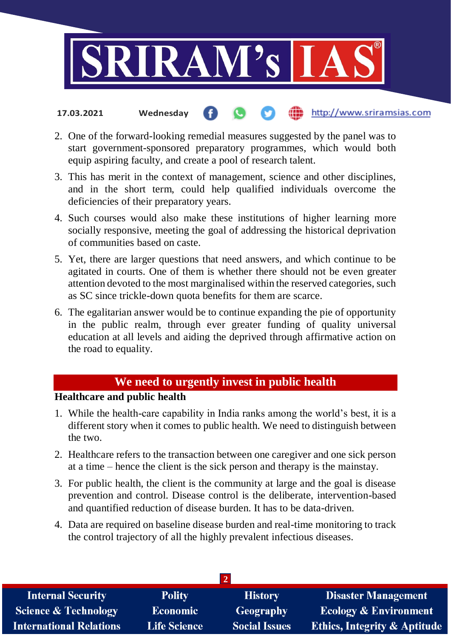

- http://www.sriramsias.com **17.03.2021 Wednesday**
- 2. One of the forward-looking remedial measures suggested by the panel was to start government-sponsored preparatory programmes, which would both equip aspiring faculty, and create a pool of research talent.
- 3. This has merit in the context of management, science and other disciplines, and in the short term, could help qualified individuals overcome the deficiencies of their preparatory years.
- 4. Such courses would also make these institutions of higher learning more socially responsive, meeting the goal of addressing the historical deprivation of communities based on caste.
- 5. Yet, there are larger questions that need answers, and which continue to be agitated in courts. One of them is whether there should not be even greater attention devoted to the most marginalised within the reserved categories, such as SC since trickle-down quota benefits for them are scarce.
- 6. The egalitarian answer would be to continue expanding the pie of opportunity in the public realm, through ever greater funding of quality universal education at all levels and aiding the deprived through affirmative action on the road to equality.

## **We need to urgently invest in public health**

## **Healthcare and public health**

- 1. While the health-care capability in India ranks among the world's best, it is a different story when it comes to public health. We need to distinguish between the two.
- 2. Healthcare refers to the transaction between one caregiver and one sick person at a time – hence the client is the sick person and therapy is the mainstay.
- 3. For public health, the client is the community at large and the goal is disease prevention and control. Disease control is the deliberate, intervention-based and quantified reduction of disease burden. It has to be data-driven.
- 4. Data are required on baseline disease burden and real-time monitoring to track the control trajectory of all the highly prevalent infectious diseases.

| <b>Internal Security</b>        | <b>Polity</b>       | <b>History</b>       | <b>Disaster Management</b>              |  |  |
|---------------------------------|---------------------|----------------------|-----------------------------------------|--|--|
| <b>Science &amp; Technology</b> | <b>Economic</b>     | Geography            | <b>Ecology &amp; Environment</b>        |  |  |
| <b>International Relations</b>  | <b>Life Science</b> | <b>Social Issues</b> | <b>Ethics, Integrity &amp; Aptitude</b> |  |  |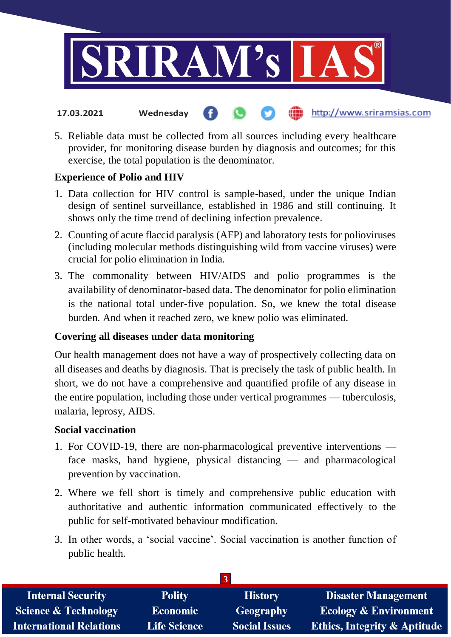

- http://www.sriramsias.com **17.03.2021 Wednesday**
- 5. Reliable data must be collected from all sources including every healthcare provider, for monitoring disease burden by diagnosis and outcomes; for this exercise, the total population is the denominator.

### **Experience of Polio and HIV**

- 1. Data collection for HIV control is sample-based, under the unique Indian design of sentinel surveillance, established in 1986 and still continuing. It shows only the time trend of declining infection prevalence.
- 2. Counting of acute flaccid paralysis (AFP) and laboratory tests for polioviruses (including molecular methods distinguishing wild from vaccine viruses) were crucial for polio elimination in India.
- 3. The commonality between HIV/AIDS and polio programmes is the availability of denominator-based data. The denominator for polio elimination is the national total under-five population. So, we knew the total disease burden. And when it reached zero, we knew polio was eliminated.

### **Covering all diseases under data monitoring**

Our health management does not have a way of prospectively collecting data on all diseases and deaths by diagnosis. That is precisely the task of public health. In short, we do not have a comprehensive and quantified profile of any disease in the entire population, including those under vertical programmes — tuberculosis, malaria, leprosy, AIDS.

### **Social vaccination**

- 1. For COVID-19, there are non-pharmacological preventive interventions face masks, hand hygiene, physical distancing — and pharmacological prevention by vaccination.
- 2. Where we fell short is timely and comprehensive public education with authoritative and authentic information communicated effectively to the public for self-motivated behaviour modification.
- 3. In other words, a 'social vaccine'. Social vaccination is another function of public health.

| <b>Internal Security</b>        | <b>Polity</b>       | <b>History</b>       | <b>Disaster Management</b>              |  |  |  |
|---------------------------------|---------------------|----------------------|-----------------------------------------|--|--|--|
| <b>Science &amp; Technology</b> | <b>Economic</b>     | Geography            | <b>Ecology &amp; Environment</b>        |  |  |  |
| <b>International Relations</b>  | <b>Life Science</b> | <b>Social Issues</b> | <b>Ethics, Integrity &amp; Aptitude</b> |  |  |  |